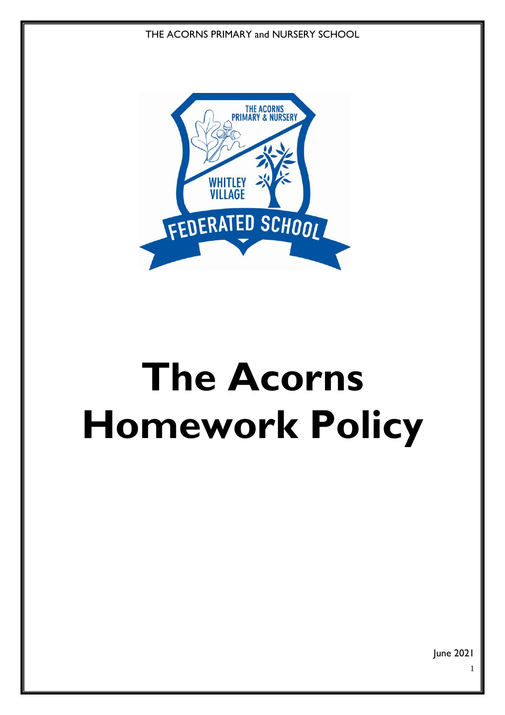THE ACORNS PRIMARY and NURSERY SCHOOL



# **The Acorns Homework Policy**

June 2021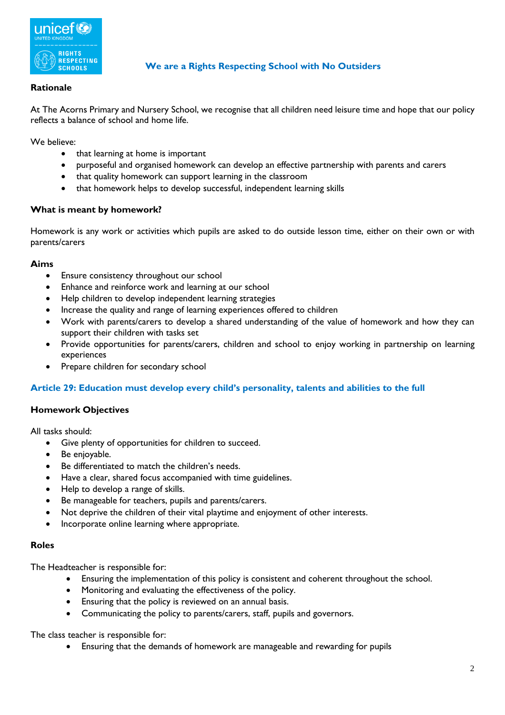

# **We are a Rights Respecting School with No Outsiders**

# **Rationale**

At The Acorns Primary and Nursery School, we recognise that all children need leisure time and hope that our policy reflects a balance of school and home life.

We believe:

- that learning at home is important
- purposeful and organised homework can develop an effective partnership with parents and carers
- that quality homework can support learning in the classroom
- that homework helps to develop successful, independent learning skills

#### **What is meant by homework?**

Homework is any work or activities which pupils are asked to do outside lesson time, either on their own or with parents/carers

#### **Aims**

- Ensure consistency throughout our school
- Enhance and reinforce work and learning at our school
- Help children to develop independent learning strategies
- Increase the quality and range of learning experiences offered to children
- Work with parents/carers to develop a shared understanding of the value of homework and how they can support their children with tasks set
- Provide opportunities for parents/carers, children and school to enjoy working in partnership on learning experiences
- Prepare children for secondary school

#### **Article 29: Education must develop every child's personality, talents and abilities to the full**

#### **Homework Objectives**

All tasks should:

- Give plenty of opportunities for children to succeed.
- Be enjoyable.
- Be differentiated to match the children's needs.
- Have a clear, shared focus accompanied with time guidelines.
- Help to develop a range of skills.
- Be manageable for teachers, pupils and parents/carers.
- Not deprive the children of their vital playtime and enjoyment of other interests.
- Incorporate online learning where appropriate.

#### **Roles**

The Headteacher is responsible for:

- Ensuring the implementation of this policy is consistent and coherent throughout the school.
- Monitoring and evaluating the effectiveness of the policy.
- Ensuring that the policy is reviewed on an annual basis.
- Communicating the policy to parents/carers, staff, pupils and governors.

The class teacher is responsible for:

Ensuring that the demands of homework are manageable and rewarding for pupils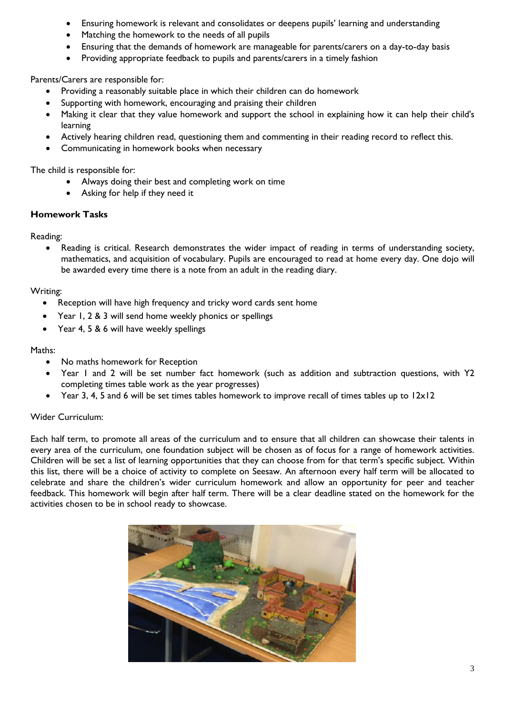- Ensuring homework is relevant and consolidates or deepens pupils' learning and understanding
- Matching the homework to the needs of all pupils
- Ensuring that the demands of homework are manageable for parents/carers on a day-to-day basis
- Providing appropriate feedback to pupils and parents/carers in a timely fashion

Parents/Carers are responsible for:

- Providing a reasonably suitable place in which their children can do homework
- Supporting with homework, encouraging and praising their children
- Making it clear that they value homework and support the school in explaining how it can help their child's learning
- Actively hearing children read, questioning them and commenting in their reading record to reflect this.
- Communicating in homework books when necessary

The child is responsible for:

- Always doing their best and completing work on time
- Asking for help if they need it

#### **Homework Tasks**

Reading:

 Reading is critical. Research demonstrates the wider impact of reading in terms of understanding society, mathematics, and acquisition of vocabulary. Pupils are encouraged to read at home every day. One dojo will be awarded every time there is a note from an adult in the reading diary.

#### Writing:

- Reception will have high frequency and tricky word cards sent home
- Year 1, 2 & 3 will send home weekly phonics or spellings
- Year 4, 5 & 6 will have weekly spellings

#### Maths:

- No maths homework for Reception
- Year 1 and 2 will be set number fact homework (such as addition and subtraction questions, with Y2 completing times table work as the year progresses)
- Year 3, 4, 5 and 6 will be set times tables homework to improve recall of times tables up to 12x12

#### Wider Curriculum:

Each half term, to promote all areas of the curriculum and to ensure that all children can showcase their talents in every area of the curriculum, one foundation subject will be chosen as of focus for a range of homework activities. Children will be set a list of learning opportunities that they can choose from for that term's specific subject. Within this list, there will be a choice of activity to complete on Seesaw. An afternoon every half term will be allocated to celebrate and share the children's wider curriculum homework and allow an opportunity for peer and teacher feedback. This homework will begin after half term. There will be a clear deadline stated on the homework for the activities chosen to be in school ready to showcase.